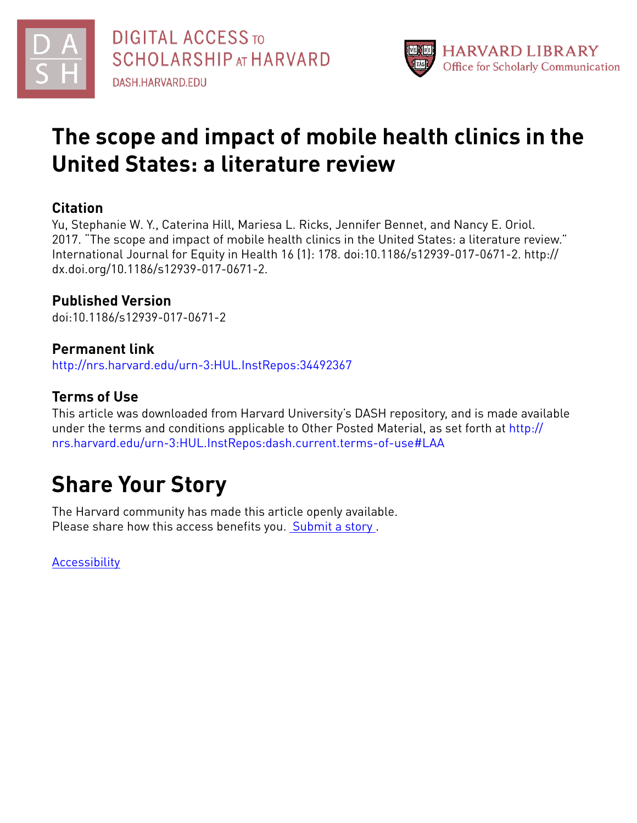



# **The scope and impact of mobile health clinics in the United States: a literature review**

## **Citation**

Yu, Stephanie W. Y., Caterina Hill, Mariesa L. Ricks, Jennifer Bennet, and Nancy E. Oriol. 2017. "The scope and impact of mobile health clinics in the United States: a literature review." International Journal for Equity in Health 16 (1): 178. doi:10.1186/s12939-017-0671-2. http:// dx.doi.org/10.1186/s12939-017-0671-2.

# **Published Version**

doi:10.1186/s12939-017-0671-2

# **Permanent link**

<http://nrs.harvard.edu/urn-3:HUL.InstRepos:34492367>

# **Terms of Use**

This article was downloaded from Harvard University's DASH repository, and is made available under the terms and conditions applicable to Other Posted Material, as set forth at [http://](http://nrs.harvard.edu/urn-3:HUL.InstRepos:dash.current.terms-of-use#LAA) [nrs.harvard.edu/urn-3:HUL.InstRepos:dash.current.terms-of-use#LAA](http://nrs.harvard.edu/urn-3:HUL.InstRepos:dash.current.terms-of-use#LAA)

# **Share Your Story**

The Harvard community has made this article openly available. Please share how this access benefits you. [Submit](http://osc.hul.harvard.edu/dash/open-access-feedback?handle=&title=The%20scope%20and%20impact%20of%20mobile%20health%20clinics%20in%20the%20United%20States:%20a%20literature%20review&community=1/4454685&collection=1/4454686&owningCollection1/4454686&harvardAuthors=6ef77ac1f7382edcea75775a19c57d9e&department) a story .

[Accessibility](https://dash.harvard.edu/pages/accessibility)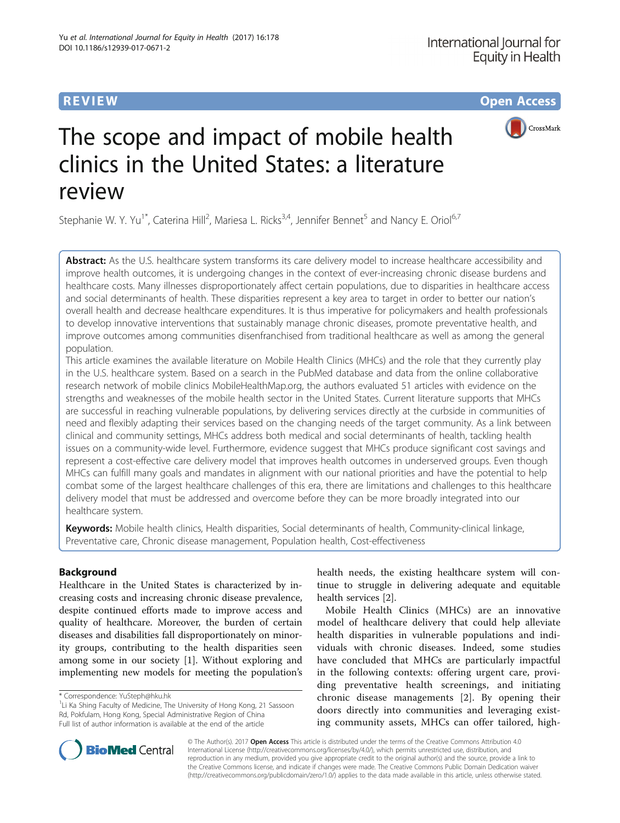**REVIEW CONSTRUCTION CONSTRUCTION CONSTRUCTS** 



# The scope and impact of mobile health clinics in the United States: a literature review

Stephanie W. Y. Yu<sup>1\*</sup>, Caterina Hill<sup>2</sup>, Mariesa L. Ricks<sup>3,4</sup>, Jennifer Bennet<sup>5</sup> and Nancy E. Oriol<sup>6,7</sup>

Abstract: As the U.S. healthcare system transforms its care delivery model to increase healthcare accessibility and improve health outcomes, it is undergoing changes in the context of ever-increasing chronic disease burdens and healthcare costs. Many illnesses disproportionately affect certain populations, due to disparities in healthcare access and social determinants of health. These disparities represent a key area to target in order to better our nation's overall health and decrease healthcare expenditures. It is thus imperative for policymakers and health professionals to develop innovative interventions that sustainably manage chronic diseases, promote preventative health, and improve outcomes among communities disenfranchised from traditional healthcare as well as among the general population.

This article examines the available literature on Mobile Health Clinics (MHCs) and the role that they currently play in the U.S. healthcare system. Based on a search in the PubMed database and data from the online collaborative research network of mobile clinics [MobileHealthMap.org](http://mobilehealthmap.org), the authors evaluated 51 articles with evidence on the strengths and weaknesses of the mobile health sector in the United States. Current literature supports that MHCs are successful in reaching vulnerable populations, by delivering services directly at the curbside in communities of need and flexibly adapting their services based on the changing needs of the target community. As a link between clinical and community settings, MHCs address both medical and social determinants of health, tackling health issues on a community-wide level. Furthermore, evidence suggest that MHCs produce significant cost savings and represent a cost-effective care delivery model that improves health outcomes in underserved groups. Even though MHCs can fulfill many goals and mandates in alignment with our national priorities and have the potential to help combat some of the largest healthcare challenges of this era, there are limitations and challenges to this healthcare delivery model that must be addressed and overcome before they can be more broadly integrated into our healthcare system.

Keywords: Mobile health clinics, Health disparities, Social determinants of health, Community-clinical linkage, Preventative care, Chronic disease management, Population health, Cost-effectiveness

#### Background

Healthcare in the United States is characterized by increasing costs and increasing chronic disease prevalence, despite continued efforts made to improve access and quality of healthcare. Moreover, the burden of certain diseases and disabilities fall disproportionately on minority groups, contributing to the health disparities seen among some in our society [[1\]](#page-10-0). Without exploring and implementing new models for meeting the population's

health needs, the existing healthcare system will continue to struggle in delivering adequate and equitable health services [[2\]](#page-10-0).

Mobile Health Clinics (MHCs) are an innovative model of healthcare delivery that could help alleviate health disparities in vulnerable populations and individuals with chronic diseases. Indeed, some studies have concluded that MHCs are particularly impactful in the following contexts: offering urgent care, providing preventative health screenings, and initiating chronic disease managements [\[2\]](#page-10-0). By opening their doors directly into communities and leveraging existing community assets, MHCs can offer tailored, high-



© The Author(s). 2017 **Open Access** This article is distributed under the terms of the Creative Commons Attribution 4.0 International License [\(http://creativecommons.org/licenses/by/4.0/](http://creativecommons.org/licenses/by/4.0/)), which permits unrestricted use, distribution, and reproduction in any medium, provided you give appropriate credit to the original author(s) and the source, provide a link to the Creative Commons license, and indicate if changes were made. The Creative Commons Public Domain Dedication waiver [\(http://creativecommons.org/publicdomain/zero/1.0/](http://creativecommons.org/publicdomain/zero/1.0/)) applies to the data made available in this article, unless otherwise stated.

<sup>\*</sup> Correspondence: [YuSteph@hku.hk](mailto:YuSteph@hku.hk) <sup>1</sup>

<sup>&</sup>lt;sup>1</sup>Li Ka Shing Faculty of Medicine, The University of Hong Kong, 21 Sassoon Rd, Pokfulam, Hong Kong, Special Administrative Region of China Full list of author information is available at the end of the article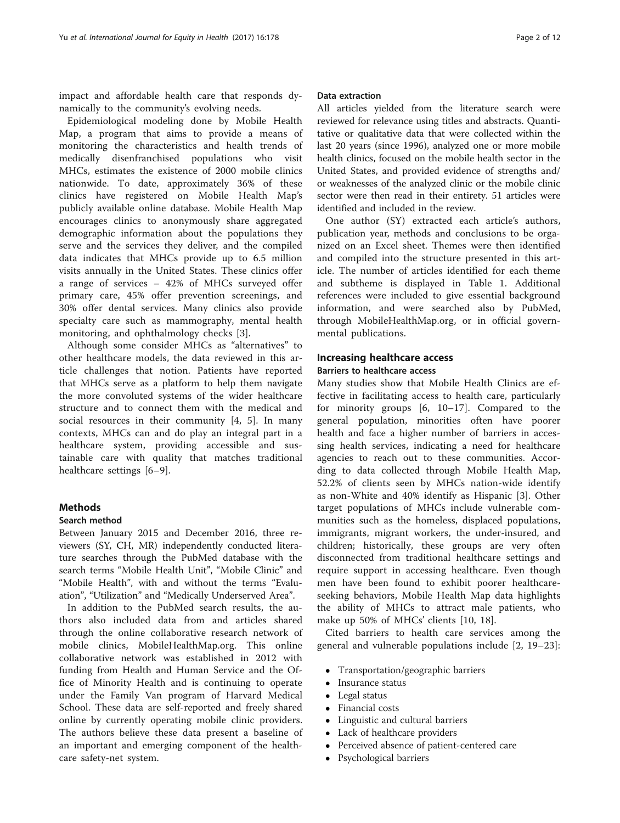impact and affordable health care that responds dynamically to the community's evolving needs.

Epidemiological modeling done by Mobile Health Map, a program that aims to provide a means of monitoring the characteristics and health trends of medically disenfranchised populations who visit MHCs, estimates the existence of 2000 mobile clinics nationwide. To date, approximately 36% of these clinics have registered on Mobile Health Map's publicly available online database. Mobile Health Map encourages clinics to anonymously share aggregated demographic information about the populations they serve and the services they deliver, and the compiled data indicates that MHCs provide up to 6.5 million visits annually in the United States. These clinics offer a range of services – 42% of MHCs surveyed offer primary care, 45% offer prevention screenings, and 30% offer dental services. Many clinics also provide specialty care such as mammography, mental health monitoring, and ophthalmology checks [\[3](#page-10-0)].

Although some consider MHCs as "alternatives" to other healthcare models, the data reviewed in this article challenges that notion. Patients have reported that MHCs serve as a platform to help them navigate the more convoluted systems of the wider healthcare structure and to connect them with the medical and social resources in their community [[4, 5\]](#page-10-0). In many contexts, MHCs can and do play an integral part in a healthcare system, providing accessible and sustainable care with quality that matches traditional healthcare settings [\[6](#page-10-0)–[9](#page-10-0)].

#### **Methods**

#### Search method

Between January 2015 and December 2016, three reviewers (SY, CH, MR) independently conducted literature searches through the PubMed database with the search terms "Mobile Health Unit", "Mobile Clinic" and "Mobile Health", with and without the terms "Evaluation", "Utilization" and "Medically Underserved Area".

In addition to the PubMed search results, the authors also included data from and articles shared through the online collaborative research network of mobile clinics, [MobileHealthMap.org](http://mobilehealthmap.org). This online collaborative network was established in 2012 with funding from Health and Human Service and the Office of Minority Health and is continuing to operate under the Family Van program of Harvard Medical School. These data are self-reported and freely shared online by currently operating mobile clinic providers. The authors believe these data present a baseline of an important and emerging component of the healthcare safety-net system.

#### Data extraction

All articles yielded from the literature search were reviewed for relevance using titles and abstracts. Quantitative or qualitative data that were collected within the last 20 years (since 1996), analyzed one or more mobile health clinics, focused on the mobile health sector in the United States, and provided evidence of strengths and/ or weaknesses of the analyzed clinic or the mobile clinic sector were then read in their entirety. 51 articles were identified and included in the review.

One author (SY) extracted each article's authors, publication year, methods and conclusions to be organized on an Excel sheet. Themes were then identified and compiled into the structure presented in this article. The number of articles identified for each theme and subtheme is displayed in Table [1](#page-3-0). Additional references were included to give essential background information, and were searched also by PubMed, through [MobileHealthMap.org](http://mobilehealthmap.org), or in official governmental publications.

### Increasing healthcare access

### Barriers to healthcare access

Many studies show that Mobile Health Clinics are effective in facilitating access to health care, particularly for minority groups [[6, 10](#page-10-0)–[17](#page-10-0)]. Compared to the general population, minorities often have poorer health and face a higher number of barriers in accessing health services, indicating a need for healthcare agencies to reach out to these communities. According to data collected through Mobile Health Map, 52.2% of clients seen by MHCs nation-wide identify as non-White and 40% identify as Hispanic [\[3](#page-10-0)]. Other target populations of MHCs include vulnerable communities such as the homeless, displaced populations, immigrants, migrant workers, the under-insured, and children; historically, these groups are very often disconnected from traditional healthcare settings and require support in accessing healthcare. Even though men have been found to exhibit poorer healthcareseeking behaviors, Mobile Health Map data highlights the ability of MHCs to attract male patients, who make up 50% of MHCs' clients [\[10](#page-10-0), [18\]](#page-10-0).

Cited barriers to health care services among the general and vulnerable populations include [[2, 19](#page-10-0)–[23\]](#page-10-0):

- Transportation/geographic barriers
- Insurance status
- Legal status
- Financial costs
- Linguistic and cultural barriers
- Lack of healthcare providers
- Perceived absence of patient-centered care
- Psychological barriers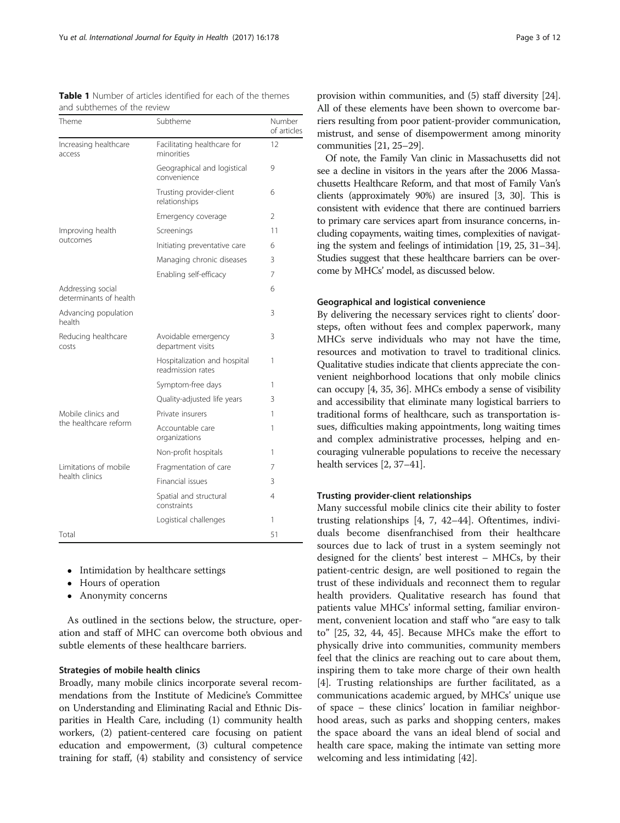| Theme                                       | Subtheme                                          | Number<br>of articles |
|---------------------------------------------|---------------------------------------------------|-----------------------|
| Increasing healthcare<br>access             | Facilitating healthcare for<br>minorities         | 12                    |
|                                             | Geographical and logistical<br>convenience        | 9                     |
|                                             | Trusting provider-client<br>relationships         | 6                     |
|                                             | Emergency coverage                                | $\mathcal{P}$         |
| Improving health<br>outcomes                | Screenings                                        | 11                    |
|                                             | Initiating preventative care                      | 6                     |
|                                             | Managing chronic diseases                         | 3                     |
|                                             | Enabling self-efficacy                            | 7                     |
| Addressing social<br>determinants of health |                                                   | 6                     |
| Advancing population<br>health              |                                                   | 3                     |
| Reducing healthcare<br>costs                | Avoidable emergency<br>department visits          | 3                     |
|                                             | Hospitalization and hospital<br>readmission rates | 1                     |
|                                             | Symptom-free days                                 | 1                     |
|                                             | Quality-adjusted life years                       | 3                     |
| Mobile clinics and<br>the healthcare reform | Private insurers                                  | 1                     |
|                                             | Accountable care<br>organizations                 | 1                     |
|                                             | Non-profit hospitals                              | 1                     |
| Limitations of mobile<br>health clinics     | Fragmentation of care                             | 7                     |
|                                             | Financial issues                                  | 3                     |
|                                             | Spatial and structural<br>constraints             | 4                     |
|                                             | Logistical challenges                             | 1                     |
| Total                                       |                                                   | 51                    |

<span id="page-3-0"></span>Table 1 Number of articles identified for each of the themes and subthemes of the review

• Intimidation by healthcare settings

- Hours of operation
- Anonymity concerns

As outlined in the sections below, the structure, operation and staff of MHC can overcome both obvious and subtle elements of these healthcare barriers.

#### Strategies of mobile health clinics

Broadly, many mobile clinics incorporate several recommendations from the Institute of Medicine's Committee on Understanding and Eliminating Racial and Ethnic Disparities in Health Care, including (1) community health workers, (2) patient-centered care focusing on patient education and empowerment, (3) cultural competence training for staff, (4) stability and consistency of service

provision within communities, and (5) staff diversity [[24](#page-10-0)]. All of these elements have been shown to overcome barriers resulting from poor patient-provider communication, mistrust, and sense of disempowerment among minority communities [[21](#page-10-0), [25](#page-10-0)–[29](#page-10-0)].

Of note, the Family Van clinic in Massachusetts did not see a decline in visitors in the years after the 2006 Massachusetts Healthcare Reform, and that most of Family Van's clients (approximately 90%) are insured [\[3, 30](#page-10-0)]. This is consistent with evidence that there are continued barriers to primary care services apart from insurance concerns, including copayments, waiting times, complexities of navigating the system and feelings of intimidation [\[19](#page-10-0), [25, 31](#page-10-0)–[34](#page-10-0)]. Studies suggest that these healthcare barriers can be overcome by MHCs' model, as discussed below.

#### Geographical and logistical convenience

By delivering the necessary services right to clients' doorsteps, often without fees and complex paperwork, many MHCs serve individuals who may not have the time, resources and motivation to travel to traditional clinics. Qualitative studies indicate that clients appreciate the convenient neighborhood locations that only mobile clinics can occupy [\[4, 35](#page-10-0), [36](#page-10-0)]. MHCs embody a sense of visibility and accessibility that eliminate many logistical barriers to traditional forms of healthcare, such as transportation issues, difficulties making appointments, long waiting times and complex administrative processes, helping and encouraging vulnerable populations to receive the necessary health services [[2, 37](#page-10-0)–[41](#page-11-0)].

#### Trusting provider-client relationships

Many successful mobile clinics cite their ability to foster trusting relationships [[4, 7](#page-10-0), [42](#page-11-0)–[44\]](#page-11-0). Oftentimes, individuals become disenfranchised from their healthcare sources due to lack of trust in a system seemingly not designed for the clients' best interest – MHCs, by their patient-centric design, are well positioned to regain the trust of these individuals and reconnect them to regular health providers. Qualitative research has found that patients value MHCs' informal setting, familiar environment, convenient location and staff who "are easy to talk to" [\[25, 32](#page-10-0), [44](#page-11-0), [45\]](#page-11-0). Because MHCs make the effort to physically drive into communities, community members feel that the clinics are reaching out to care about them, inspiring them to take more charge of their own health [[4\]](#page-10-0). Trusting relationships are further facilitated, as a communications academic argued, by MHCs' unique use of space – these clinics' location in familiar neighborhood areas, such as parks and shopping centers, makes the space aboard the vans an ideal blend of social and health care space, making the intimate van setting more welcoming and less intimidating [\[42](#page-11-0)].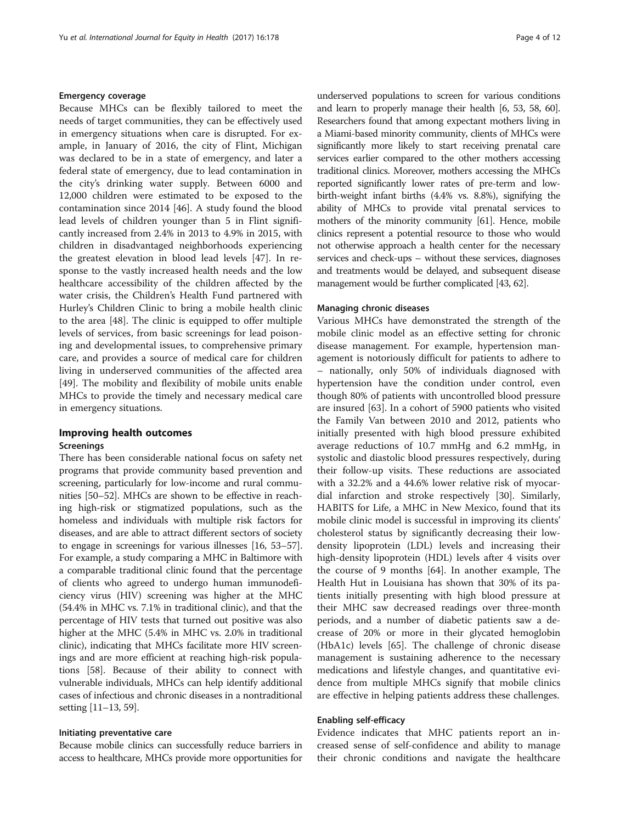#### Emergency coverage

Because MHCs can be flexibly tailored to meet the needs of target communities, they can be effectively used in emergency situations when care is disrupted. For example, in January of 2016, the city of Flint, Michigan was declared to be in a state of emergency, and later a federal state of emergency, due to lead contamination in the city's drinking water supply. Between 6000 and 12,000 children were estimated to be exposed to the contamination since 2014 [[46](#page-11-0)]. A study found the blood lead levels of children younger than 5 in Flint significantly increased from 2.4% in 2013 to 4.9% in 2015, with children in disadvantaged neighborhoods experiencing the greatest elevation in blood lead levels [\[47](#page-11-0)]. In response to the vastly increased health needs and the low healthcare accessibility of the children affected by the water crisis, the Children's Health Fund partnered with Hurley's Children Clinic to bring a mobile health clinic to the area [\[48](#page-11-0)]. The clinic is equipped to offer multiple levels of services, from basic screenings for lead poisoning and developmental issues, to comprehensive primary care, and provides a source of medical care for children living in underserved communities of the affected area [[49\]](#page-11-0). The mobility and flexibility of mobile units enable MHCs to provide the timely and necessary medical care in emergency situations.

#### Improving health outcomes

#### Screenings

There has been considerable national focus on safety net programs that provide community based prevention and screening, particularly for low-income and rural communities [[50](#page-11-0)–[52\]](#page-11-0). MHCs are shown to be effective in reaching high-risk or stigmatized populations, such as the homeless and individuals with multiple risk factors for diseases, and are able to attract different sectors of society to engage in screenings for various illnesses [[16](#page-10-0), [53](#page-11-0)–[57](#page-11-0)]. For example, a study comparing a MHC in Baltimore with a comparable traditional clinic found that the percentage of clients who agreed to undergo human immunodeficiency virus (HIV) screening was higher at the MHC (54.4% in MHC vs. 7.1% in traditional clinic), and that the percentage of HIV tests that turned out positive was also higher at the MHC (5.4% in MHC vs. 2.0% in traditional clinic), indicating that MHCs facilitate more HIV screenings and are more efficient at reaching high-risk populations [\[58](#page-11-0)]. Because of their ability to connect with vulnerable individuals, MHCs can help identify additional cases of infectious and chronic diseases in a nontraditional setting [\[11](#page-10-0)–[13](#page-10-0), [59](#page-11-0)].

#### Initiating preventative care

Because mobile clinics can successfully reduce barriers in access to healthcare, MHCs provide more opportunities for underserved populations to screen for various conditions and learn to properly manage their health [[6](#page-10-0), [53, 58, 60](#page-11-0)]. Researchers found that among expectant mothers living in a Miami-based minority community, clients of MHCs were significantly more likely to start receiving prenatal care services earlier compared to the other mothers accessing traditional clinics. Moreover, mothers accessing the MHCs reported significantly lower rates of pre-term and lowbirth-weight infant births (4.4% vs. 8.8%), signifying the ability of MHCs to provide vital prenatal services to mothers of the minority community [\[61](#page-11-0)]. Hence, mobile clinics represent a potential resource to those who would not otherwise approach a health center for the necessary services and check-ups – without these services, diagnoses and treatments would be delayed, and subsequent disease management would be further complicated [[43, 62\]](#page-11-0).

#### Managing chronic diseases

Various MHCs have demonstrated the strength of the mobile clinic model as an effective setting for chronic disease management. For example, hypertension management is notoriously difficult for patients to adhere to – nationally, only 50% of individuals diagnosed with hypertension have the condition under control, even though 80% of patients with uncontrolled blood pressure are insured [[63](#page-11-0)]. In a cohort of 5900 patients who visited the Family Van between 2010 and 2012, patients who initially presented with high blood pressure exhibited average reductions of 10.7 mmHg and 6.2 mmHg, in systolic and diastolic blood pressures respectively, during their follow-up visits. These reductions are associated with a 32.2% and a 44.6% lower relative risk of myocardial infarction and stroke respectively [\[30](#page-10-0)]. Similarly, HABITS for Life, a MHC in New Mexico, found that its mobile clinic model is successful in improving its clients' cholesterol status by significantly decreasing their lowdensity lipoprotein (LDL) levels and increasing their high-density lipoprotein (HDL) levels after 4 visits over the course of 9 months [[64](#page-11-0)]. In another example, The Health Hut in Louisiana has shown that 30% of its patients initially presenting with high blood pressure at their MHC saw decreased readings over three-month periods, and a number of diabetic patients saw a decrease of 20% or more in their glycated hemoglobin (HbA1c) levels [[65\]](#page-11-0). The challenge of chronic disease management is sustaining adherence to the necessary medications and lifestyle changes, and quantitative evidence from multiple MHCs signify that mobile clinics are effective in helping patients address these challenges.

#### Enabling self-efficacy

Evidence indicates that MHC patients report an increased sense of self-confidence and ability to manage their chronic conditions and navigate the healthcare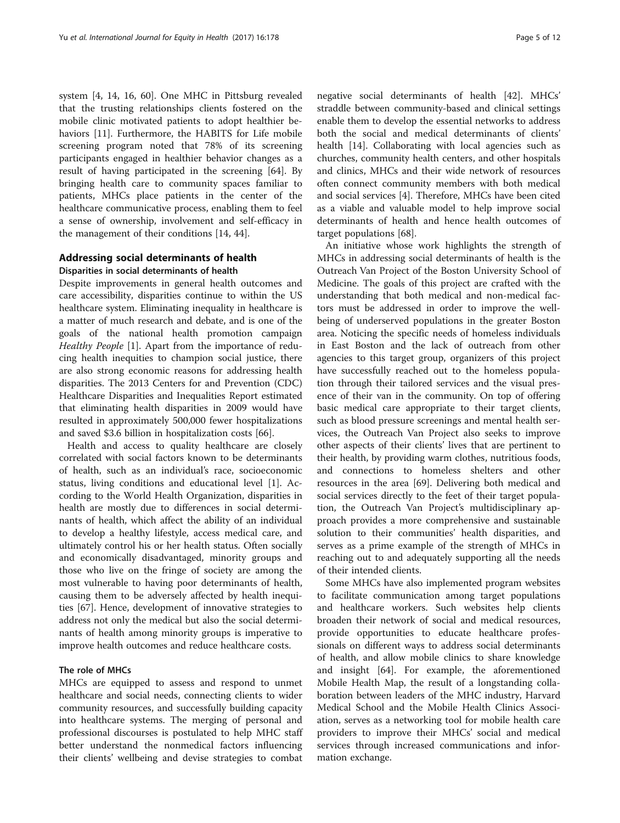system [[4, 14, 16,](#page-10-0) [60\]](#page-11-0). One MHC in Pittsburg revealed that the trusting relationships clients fostered on the mobile clinic motivated patients to adopt healthier behaviors [\[11](#page-10-0)]. Furthermore, the HABITS for Life mobile screening program noted that 78% of its screening participants engaged in healthier behavior changes as a result of having participated in the screening [\[64](#page-11-0)]. By bringing health care to community spaces familiar to patients, MHCs place patients in the center of the healthcare communicative process, enabling them to feel a sense of ownership, involvement and self-efficacy in the management of their conditions [[14,](#page-10-0) [44\]](#page-11-0).

### Addressing social determinants of health

#### Disparities in social determinants of health

Despite improvements in general health outcomes and care accessibility, disparities continue to within the US healthcare system. Eliminating inequality in healthcare is a matter of much research and debate, and is one of the goals of the national health promotion campaign Healthy People [\[1](#page-10-0)]. Apart from the importance of reducing health inequities to champion social justice, there are also strong economic reasons for addressing health disparities. The 2013 Centers for and Prevention (CDC) Healthcare Disparities and Inequalities Report estimated that eliminating health disparities in 2009 would have resulted in approximately 500,000 fewer hospitalizations and saved \$3.6 billion in hospitalization costs [\[66](#page-11-0)].

Health and access to quality healthcare are closely correlated with social factors known to be determinants of health, such as an individual's race, socioeconomic status, living conditions and educational level [[1\]](#page-10-0). According to the World Health Organization, disparities in health are mostly due to differences in social determinants of health, which affect the ability of an individual to develop a healthy lifestyle, access medical care, and ultimately control his or her health status. Often socially and economically disadvantaged, minority groups and those who live on the fringe of society are among the most vulnerable to having poor determinants of health, causing them to be adversely affected by health inequities [\[67](#page-11-0)]. Hence, development of innovative strategies to address not only the medical but also the social determinants of health among minority groups is imperative to improve health outcomes and reduce healthcare costs.

#### The role of MHCs

MHCs are equipped to assess and respond to unmet healthcare and social needs, connecting clients to wider community resources, and successfully building capacity into healthcare systems. The merging of personal and professional discourses is postulated to help MHC staff better understand the nonmedical factors influencing their clients' wellbeing and devise strategies to combat

negative social determinants of health [\[42](#page-11-0)]. MHCs' straddle between community-based and clinical settings enable them to develop the essential networks to address both the social and medical determinants of clients' health [\[14](#page-10-0)]. Collaborating with local agencies such as churches, community health centers, and other hospitals and clinics, MHCs and their wide network of resources often connect community members with both medical and social services [\[4](#page-10-0)]. Therefore, MHCs have been cited as a viable and valuable model to help improve social determinants of health and hence health outcomes of target populations [\[68\]](#page-11-0).

An initiative whose work highlights the strength of MHCs in addressing social determinants of health is the Outreach Van Project of the Boston University School of Medicine. The goals of this project are crafted with the understanding that both medical and non-medical factors must be addressed in order to improve the wellbeing of underserved populations in the greater Boston area. Noticing the specific needs of homeless individuals in East Boston and the lack of outreach from other agencies to this target group, organizers of this project have successfully reached out to the homeless population through their tailored services and the visual presence of their van in the community. On top of offering basic medical care appropriate to their target clients, such as blood pressure screenings and mental health services, the Outreach Van Project also seeks to improve other aspects of their clients' lives that are pertinent to their health, by providing warm clothes, nutritious foods, and connections to homeless shelters and other resources in the area [\[69\]](#page-11-0). Delivering both medical and social services directly to the feet of their target population, the Outreach Van Project's multidisciplinary approach provides a more comprehensive and sustainable solution to their communities' health disparities, and serves as a prime example of the strength of MHCs in reaching out to and adequately supporting all the needs of their intended clients.

Some MHCs have also implemented program websites to facilitate communication among target populations and healthcare workers. Such websites help clients broaden their network of social and medical resources, provide opportunities to educate healthcare professionals on different ways to address social determinants of health, and allow mobile clinics to share knowledge and insight [[64\]](#page-11-0). For example, the aforementioned Mobile Health Map, the result of a longstanding collaboration between leaders of the MHC industry, Harvard Medical School and the Mobile Health Clinics Association, serves as a networking tool for mobile health care providers to improve their MHCs' social and medical services through increased communications and information exchange.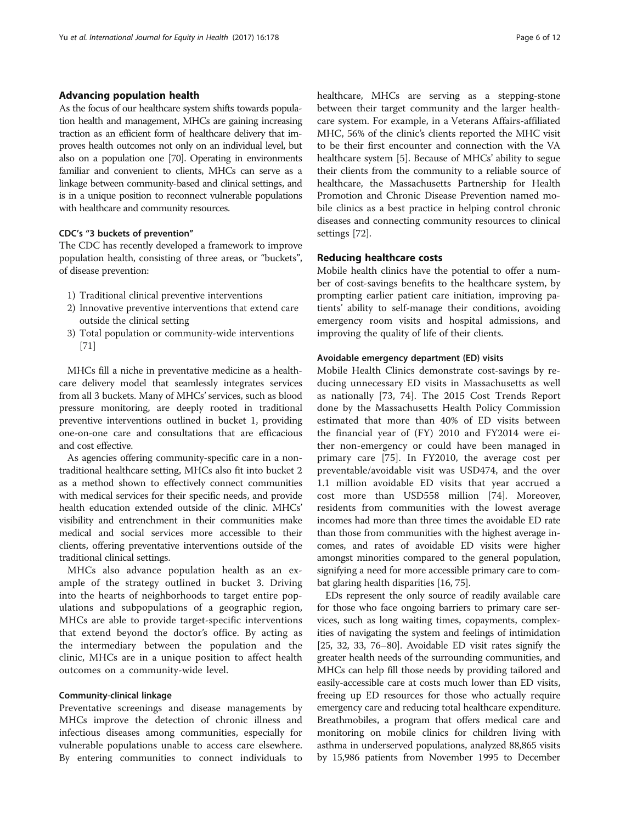#### Advancing population health

As the focus of our healthcare system shifts towards population health and management, MHCs are gaining increasing traction as an efficient form of healthcare delivery that improves health outcomes not only on an individual level, but also on a population one [[70\]](#page-11-0). Operating in environments familiar and convenient to clients, MHCs can serve as a linkage between community-based and clinical settings, and is in a unique position to reconnect vulnerable populations with healthcare and community resources.

#### CDC's "3 buckets of prevention"

The CDC has recently developed a framework to improve population health, consisting of three areas, or "buckets", of disease prevention:

- 1) Traditional clinical preventive interventions
- 2) Innovative preventive interventions that extend care outside the clinical setting
- 3) Total population or community-wide interventions [\[71](#page-11-0)]

MHCs fill a niche in preventative medicine as a healthcare delivery model that seamlessly integrates services from all 3 buckets. Many of MHCs' services, such as blood pressure monitoring, are deeply rooted in traditional preventive interventions outlined in bucket 1, providing one-on-one care and consultations that are efficacious and cost effective.

As agencies offering community-specific care in a nontraditional healthcare setting, MHCs also fit into bucket 2 as a method shown to effectively connect communities with medical services for their specific needs, and provide health education extended outside of the clinic. MHCs' visibility and entrenchment in their communities make medical and social services more accessible to their clients, offering preventative interventions outside of the traditional clinical settings.

MHCs also advance population health as an example of the strategy outlined in bucket 3. Driving into the hearts of neighborhoods to target entire populations and subpopulations of a geographic region, MHCs are able to provide target-specific interventions that extend beyond the doctor's office. By acting as the intermediary between the population and the clinic, MHCs are in a unique position to affect health outcomes on a community-wide level.

#### Community-clinical linkage

Preventative screenings and disease managements by MHCs improve the detection of chronic illness and infectious diseases among communities, especially for vulnerable populations unable to access care elsewhere. By entering communities to connect individuals to healthcare, MHCs are serving as a stepping-stone between their target community and the larger healthcare system. For example, in a Veterans Affairs-affiliated MHC, 56% of the clinic's clients reported the MHC visit to be their first encounter and connection with the VA healthcare system [\[5\]](#page-10-0). Because of MHCs' ability to segue their clients from the community to a reliable source of healthcare, the Massachusetts Partnership for Health Promotion and Chronic Disease Prevention named mobile clinics as a best practice in helping control chronic diseases and connecting community resources to clinical settings [[72\]](#page-11-0).

#### Reducing healthcare costs

Mobile health clinics have the potential to offer a number of cost-savings benefits to the healthcare system, by prompting earlier patient care initiation, improving patients' ability to self-manage their conditions, avoiding emergency room visits and hospital admissions, and improving the quality of life of their clients.

#### Avoidable emergency department (ED) visits

Mobile Health Clinics demonstrate cost-savings by reducing unnecessary ED visits in Massachusetts as well as nationally [\[73](#page-11-0), [74\]](#page-11-0). The 2015 Cost Trends Report done by the Massachusetts Health Policy Commission estimated that more than 40% of ED visits between the financial year of (FY) 2010 and FY2014 were either non-emergency or could have been managed in primary care [[75\]](#page-11-0). In FY2010, the average cost per preventable/avoidable visit was USD474, and the over 1.1 million avoidable ED visits that year accrued a cost more than USD558 million [\[74](#page-11-0)]. Moreover, residents from communities with the lowest average incomes had more than three times the avoidable ED rate than those from communities with the highest average incomes, and rates of avoidable ED visits were higher amongst minorities compared to the general population, signifying a need for more accessible primary care to combat glaring health disparities [\[16,](#page-10-0) [75](#page-11-0)].

EDs represent the only source of readily available care for those who face ongoing barriers to primary care services, such as long waiting times, copayments, complexities of navigating the system and feelings of intimidation [[25](#page-10-0), [32, 33,](#page-10-0) [76](#page-11-0)–[80](#page-12-0)]. Avoidable ED visit rates signify the greater health needs of the surrounding communities, and MHCs can help fill those needs by providing tailored and easily-accessible care at costs much lower than ED visits, freeing up ED resources for those who actually require emergency care and reducing total healthcare expenditure. Breathmobiles, a program that offers medical care and monitoring on mobile clinics for children living with asthma in underserved populations, analyzed 88,865 visits by 15,986 patients from November 1995 to December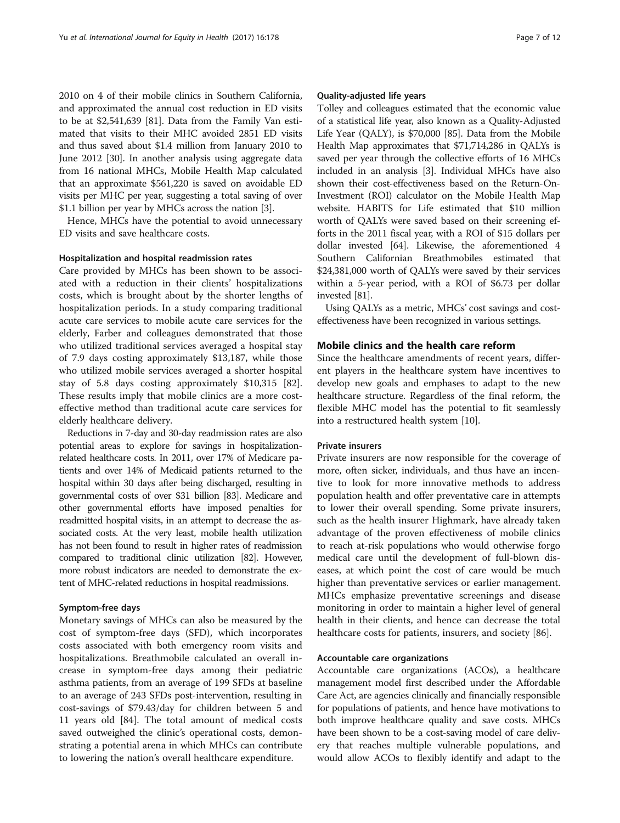2010 on 4 of their mobile clinics in Southern California, and approximated the annual cost reduction in ED visits to be at \$2,541,639 [[81](#page-12-0)]. Data from the Family Van estimated that visits to their MHC avoided 2851 ED visits and thus saved about \$1.4 million from January 2010 to June 2012 [\[30\]](#page-10-0). In another analysis using aggregate data from 16 national MHCs, Mobile Health Map calculated that an approximate \$561,220 is saved on avoidable ED visits per MHC per year, suggesting a total saving of over \$1.1 billion per year by MHCs across the nation [[3\]](#page-10-0).

Hence, MHCs have the potential to avoid unnecessary ED visits and save healthcare costs.

#### Hospitalization and hospital readmission rates

Care provided by MHCs has been shown to be associated with a reduction in their clients' hospitalizations costs, which is brought about by the shorter lengths of hospitalization periods. In a study comparing traditional acute care services to mobile acute care services for the elderly, Farber and colleagues demonstrated that those who utilized traditional services averaged a hospital stay of 7.9 days costing approximately \$13,187, while those who utilized mobile services averaged a shorter hospital stay of 5.8 days costing approximately \$10,315 [\[82](#page-12-0)]. These results imply that mobile clinics are a more costeffective method than traditional acute care services for elderly healthcare delivery.

Reductions in 7-day and 30-day readmission rates are also potential areas to explore for savings in hospitalizationrelated healthcare costs. In 2011, over 17% of Medicare patients and over 14% of Medicaid patients returned to the hospital within 30 days after being discharged, resulting in governmental costs of over \$31 billion [[83\]](#page-12-0). Medicare and other governmental efforts have imposed penalties for readmitted hospital visits, in an attempt to decrease the associated costs. At the very least, mobile health utilization has not been found to result in higher rates of readmission compared to traditional clinic utilization [\[82](#page-12-0)]. However, more robust indicators are needed to demonstrate the extent of MHC-related reductions in hospital readmissions.

#### Symptom-free days

Monetary savings of MHCs can also be measured by the cost of symptom-free days (SFD), which incorporates costs associated with both emergency room visits and hospitalizations. Breathmobile calculated an overall increase in symptom-free days among their pediatric asthma patients, from an average of 199 SFDs at baseline to an average of 243 SFDs post-intervention, resulting in cost-savings of \$79.43/day for children between 5 and 11 years old [[84](#page-12-0)]. The total amount of medical costs saved outweighed the clinic's operational costs, demonstrating a potential arena in which MHCs can contribute to lowering the nation's overall healthcare expenditure.

#### Quality-adjusted life years

Tolley and colleagues estimated that the economic value of a statistical life year, also known as a Quality-Adjusted Life Year (QALY), is \$70,000 [[85](#page-12-0)]. Data from the Mobile Health Map approximates that \$71,714,286 in QALYs is saved per year through the collective efforts of 16 MHCs included in an analysis [\[3](#page-10-0)]. Individual MHCs have also shown their cost-effectiveness based on the Return-On-Investment (ROI) calculator on the Mobile Health Map website. HABITS for Life estimated that \$10 million worth of QALYs were saved based on their screening efforts in the 2011 fiscal year, with a ROI of \$15 dollars per dollar invested [\[64\]](#page-11-0). Likewise, the aforementioned 4 Southern Californian Breathmobiles estimated that \$24,381,000 worth of QALYs were saved by their services within a 5-year period, with a ROI of \$6.73 per dollar invested [\[81\]](#page-12-0).

Using QALYs as a metric, MHCs' cost savings and costeffectiveness have been recognized in various settings.

#### Mobile clinics and the health care reform

Since the healthcare amendments of recent years, different players in the healthcare system have incentives to develop new goals and emphases to adapt to the new healthcare structure. Regardless of the final reform, the flexible MHC model has the potential to fit seamlessly into a restructured health system [\[10](#page-10-0)].

#### Private insurers

Private insurers are now responsible for the coverage of more, often sicker, individuals, and thus have an incentive to look for more innovative methods to address population health and offer preventative care in attempts to lower their overall spending. Some private insurers, such as the health insurer Highmark, have already taken advantage of the proven effectiveness of mobile clinics to reach at-risk populations who would otherwise forgo medical care until the development of full-blown diseases, at which point the cost of care would be much higher than preventative services or earlier management. MHCs emphasize preventative screenings and disease monitoring in order to maintain a higher level of general health in their clients, and hence can decrease the total healthcare costs for patients, insurers, and society [[86\]](#page-12-0).

#### Accountable care organizations

Accountable care organizations (ACOs), a healthcare management model first described under the Affordable Care Act, are agencies clinically and financially responsible for populations of patients, and hence have motivations to both improve healthcare quality and save costs. MHCs have been shown to be a cost-saving model of care delivery that reaches multiple vulnerable populations, and would allow ACOs to flexibly identify and adapt to the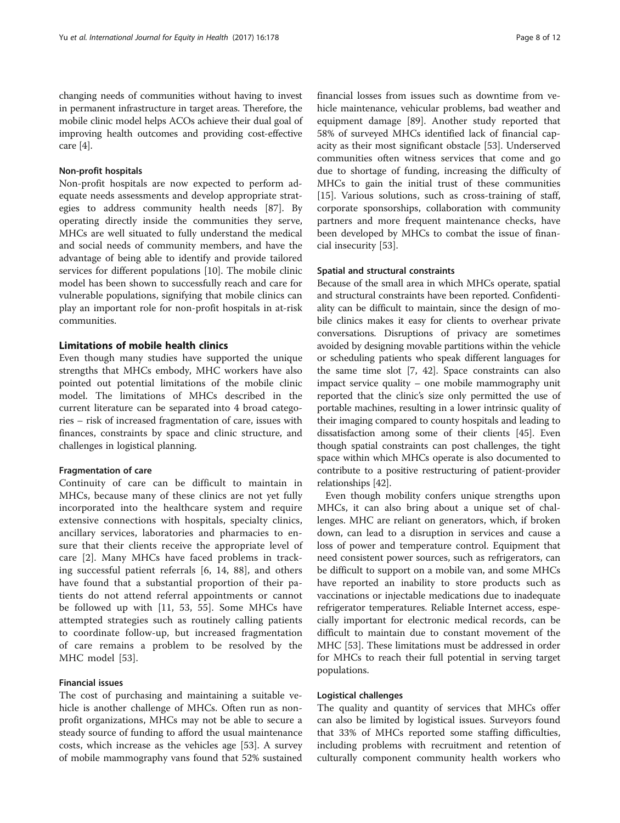changing needs of communities without having to invest in permanent infrastructure in target areas. Therefore, the mobile clinic model helps ACOs achieve their dual goal of improving health outcomes and providing cost-effective care [\[4\]](#page-10-0).

#### Non-profit hospitals

Non-profit hospitals are now expected to perform adequate needs assessments and develop appropriate strategies to address community health needs [[87\]](#page-12-0). By operating directly inside the communities they serve, MHCs are well situated to fully understand the medical and social needs of community members, and have the advantage of being able to identify and provide tailored services for different populations [\[10](#page-10-0)]. The mobile clinic model has been shown to successfully reach and care for vulnerable populations, signifying that mobile clinics can play an important role for non-profit hospitals in at-risk communities.

#### Limitations of mobile health clinics

Even though many studies have supported the unique strengths that MHCs embody, MHC workers have also pointed out potential limitations of the mobile clinic model. The limitations of MHCs described in the current literature can be separated into 4 broad categories – risk of increased fragmentation of care, issues with finances, constraints by space and clinic structure, and challenges in logistical planning.

#### Fragmentation of care

Continuity of care can be difficult to maintain in MHCs, because many of these clinics are not yet fully incorporated into the healthcare system and require extensive connections with hospitals, specialty clinics, ancillary services, laboratories and pharmacies to ensure that their clients receive the appropriate level of care [\[2](#page-10-0)]. Many MHCs have faced problems in tracking successful patient referrals [[6, 14,](#page-10-0) [88\]](#page-12-0), and others have found that a substantial proportion of their patients do not attend referral appointments or cannot be followed up with [[11](#page-10-0), [53](#page-11-0), [55](#page-11-0)]. Some MHCs have attempted strategies such as routinely calling patients to coordinate follow-up, but increased fragmentation of care remains a problem to be resolved by the MHC model [\[53](#page-11-0)].

#### Financial issues

The cost of purchasing and maintaining a suitable vehicle is another challenge of MHCs. Often run as nonprofit organizations, MHCs may not be able to secure a steady source of funding to afford the usual maintenance costs, which increase as the vehicles age [\[53\]](#page-11-0). A survey of mobile mammography vans found that 52% sustained

financial losses from issues such as downtime from vehicle maintenance, vehicular problems, bad weather and equipment damage [\[89](#page-12-0)]. Another study reported that 58% of surveyed MHCs identified lack of financial capacity as their most significant obstacle [\[53\]](#page-11-0). Underserved communities often witness services that come and go due to shortage of funding, increasing the difficulty of MHCs to gain the initial trust of these communities [[15\]](#page-10-0). Various solutions, such as cross-training of staff, corporate sponsorships, collaboration with community partners and more frequent maintenance checks, have been developed by MHCs to combat the issue of financial insecurity [\[53](#page-11-0)].

#### Spatial and structural constraints

Because of the small area in which MHCs operate, spatial and structural constraints have been reported. Confidentiality can be difficult to maintain, since the design of mobile clinics makes it easy for clients to overhear private conversations. Disruptions of privacy are sometimes avoided by designing movable partitions within the vehicle or scheduling patients who speak different languages for the same time slot [\[7,](#page-10-0) [42\]](#page-11-0). Space constraints can also impact service quality – one mobile mammography unit reported that the clinic's size only permitted the use of portable machines, resulting in a lower intrinsic quality of their imaging compared to county hospitals and leading to dissatisfaction among some of their clients [[45](#page-11-0)]. Even though spatial constraints can post challenges, the tight space within which MHCs operate is also documented to contribute to a positive restructuring of patient-provider relationships [\[42\]](#page-11-0).

Even though mobility confers unique strengths upon MHCs, it can also bring about a unique set of challenges. MHC are reliant on generators, which, if broken down, can lead to a disruption in services and cause a loss of power and temperature control. Equipment that need consistent power sources, such as refrigerators, can be difficult to support on a mobile van, and some MHCs have reported an inability to store products such as vaccinations or injectable medications due to inadequate refrigerator temperatures. Reliable Internet access, especially important for electronic medical records, can be difficult to maintain due to constant movement of the MHC [\[53](#page-11-0)]. These limitations must be addressed in order for MHCs to reach their full potential in serving target populations.

#### Logistical challenges

The quality and quantity of services that MHCs offer can also be limited by logistical issues. Surveyors found that 33% of MHCs reported some staffing difficulties, including problems with recruitment and retention of culturally component community health workers who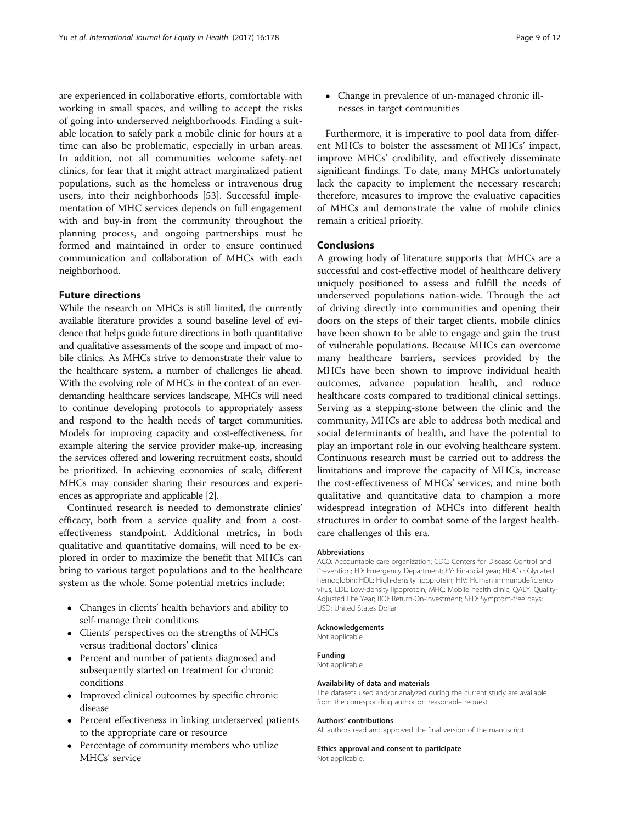are experienced in collaborative efforts, comfortable with working in small spaces, and willing to accept the risks of going into underserved neighborhoods. Finding a suitable location to safely park a mobile clinic for hours at a time can also be problematic, especially in urban areas. In addition, not all communities welcome safety-net clinics, for fear that it might attract marginalized patient populations, such as the homeless or intravenous drug users, into their neighborhoods [[53\]](#page-11-0). Successful implementation of MHC services depends on full engagement with and buy-in from the community throughout the planning process, and ongoing partnerships must be formed and maintained in order to ensure continued communication and collaboration of MHCs with each neighborhood.

#### Future directions

While the research on MHCs is still limited, the currently available literature provides a sound baseline level of evidence that helps guide future directions in both quantitative and qualitative assessments of the scope and impact of mobile clinics. As MHCs strive to demonstrate their value to the healthcare system, a number of challenges lie ahead. With the evolving role of MHCs in the context of an everdemanding healthcare services landscape, MHCs will need to continue developing protocols to appropriately assess and respond to the health needs of target communities. Models for improving capacity and cost-effectiveness, for example altering the service provider make-up, increasing the services offered and lowering recruitment costs, should be prioritized. In achieving economies of scale, different MHCs may consider sharing their resources and experiences as appropriate and applicable [[2](#page-10-0)].

Continued research is needed to demonstrate clinics' efficacy, both from a service quality and from a costeffectiveness standpoint. Additional metrics, in both qualitative and quantitative domains, will need to be explored in order to maximize the benefit that MHCs can bring to various target populations and to the healthcare system as the whole. Some potential metrics include:

- Changes in clients' health behaviors and ability to self-manage their conditions
- Clients' perspectives on the strengths of MHCs versus traditional doctors' clinics
- Percent and number of patients diagnosed and subsequently started on treatment for chronic conditions
- Improved clinical outcomes by specific chronic disease
- Percent effectiveness in linking underserved patients to the appropriate care or resource
- Percentage of community members who utilize MHCs' service

 Change in prevalence of un-managed chronic illnesses in target communities

Furthermore, it is imperative to pool data from different MHCs to bolster the assessment of MHCs' impact, improve MHCs' credibility, and effectively disseminate significant findings. To date, many MHCs unfortunately lack the capacity to implement the necessary research; therefore, measures to improve the evaluative capacities of MHCs and demonstrate the value of mobile clinics remain a critical priority.

#### Conclusions

A growing body of literature supports that MHCs are a successful and cost-effective model of healthcare delivery uniquely positioned to assess and fulfill the needs of underserved populations nation-wide. Through the act of driving directly into communities and opening their doors on the steps of their target clients, mobile clinics have been shown to be able to engage and gain the trust of vulnerable populations. Because MHCs can overcome many healthcare barriers, services provided by the MHCs have been shown to improve individual health outcomes, advance population health, and reduce healthcare costs compared to traditional clinical settings. Serving as a stepping-stone between the clinic and the community, MHCs are able to address both medical and social determinants of health, and have the potential to play an important role in our evolving healthcare system. Continuous research must be carried out to address the limitations and improve the capacity of MHCs, increase the cost-effectiveness of MHCs' services, and mine both qualitative and quantitative data to champion a more widespread integration of MHCs into different health structures in order to combat some of the largest healthcare challenges of this era.

#### Abbreviations

ACO: Accountable care organization; CDC: Centers for Disease Control and Prevention; ED: Emergency Department; FY: Financial year; HbA1c: Glycated hemoglobin; HDL: High-density lipoprotein; HIV: Human immunodeficiency virus; LDL: Low-density lipoprotein; MHC: Mobile health clinic; QALY: Quality-Adjusted Life Year; ROI: Return-On-Investment; SFD: Symptom-free days; USD: United States Dollar

#### Acknowledgements

Not applicable.

#### Funding

Not applicable.

#### Availability of data and materials

The datasets used and/or analyzed during the current study are available from the corresponding author on reasonable request.

#### Authors' contributions

All authors read and approved the final version of the manuscript.

Ethics approval and consent to participate

Not applicable.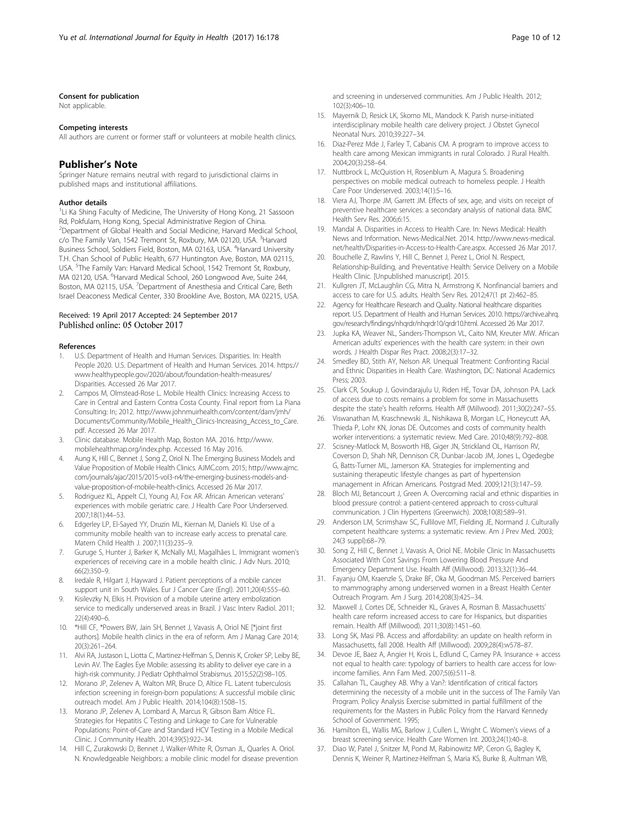#### <span id="page-10-0"></span>Consent for publication

Not applicable.

#### Competing interests

All authors are current or former staff or volunteers at mobile health clinics.

#### Publisher's Note

Springer Nature remains neutral with regard to jurisdictional claims in published maps and institutional affiliations.

#### Author details

<sup>1</sup>Li Ka Shing Faculty of Medicine, The University of Hong Kong, 21 Sassoon Rd, Pokfulam, Hong Kong, Special Administrative Region of China. 2 Department of Global Health and Social Medicine, Harvard Medical School, c/o The Family Van, 1542 Tremont St, Roxbury, MA 02120, USA. <sup>3</sup>Harvard Business School, Soldiers Field, Boston, MA 02163, USA. <sup>4</sup>Harvard University T.H. Chan School of Public Health, 677 Huntington Ave, Boston, MA 02115, USA. <sup>5</sup>The Family Van: Harvard Medical School, 1542 Tremont St, Roxbury, MA 02120, USA. <sup>6</sup>Harvard Medical School, 260 Longwood Ave, Suite 244, Boston, MA 02115, USA. <sup>7</sup>Department of Anesthesia and Critical Care, Beth Israel Deaconess Medical Center, 330 Brookline Ave, Boston, MA 02215, USA.

#### Received: 19 April 2017 Accepted: 24 September 2017 Published online: 05 October 2017

#### References

- 1. U.S. Department of Health and Human Services. Disparities. In: Health People 2020. U.S. Department of Health and Human Services. 2014. [https://](https://www.healthypeople.gov/2020/about/foundation-health-measures/Disparities) [www.healthypeople.gov/2020/about/foundation-health-measures/](https://www.healthypeople.gov/2020/about/foundation-health-measures/Disparities) [Disparities.](https://www.healthypeople.gov/2020/about/foundation-health-measures/Disparities) Accessed 26 Mar 2017.
- 2. Campos M, Olmstead-Rose L. Mobile Health Clinics: Increasing Access to Care in Central and Eastern Contra Costa County. Final report from La Piana Consulting: In; 2012. [http://www.johnmuirhealth.com/content/dam/jmh/](http://www.johnmuirhealth.com/content/dam/jmh/Documents/Community/Mobile_Health_Clinics-Increasing_Access_to_Care.pdf) [Documents/Community/Mobile\\_Health\\_Clinics-Increasing\\_Access\\_to\\_Care.](http://www.johnmuirhealth.com/content/dam/jmh/Documents/Community/Mobile_Health_Clinics-Increasing_Access_to_Care.pdf) [pdf](http://www.johnmuirhealth.com/content/dam/jmh/Documents/Community/Mobile_Health_Clinics-Increasing_Access_to_Care.pdf). Accessed 26 Mar 2017.
- 3. Clinic database. Mobile Health Map, Boston MA. 2016. [http://www.](http://www.mobilehealthmap.org/index.php) [mobilehealthmap.org/index.php.](http://www.mobilehealthmap.org/index.php) Accessed 16 May 2016.
- 4. Aung K, Hill C, Bennet J, Song Z, Oriol N. The Emerging Business Models and Value Proposition of Mobile Health Clinics. AJMC.com. 2015; [http://www.ajmc.](http://www.ajmc.com/journals/ajac/2015/2015-vol3-n4/the-emerging-business-models-and-value-proposition-of-mobile-health-clinics) [com/journals/ajac/2015/2015-vol3-n4/the-emerging-business-models-and](http://www.ajmc.com/journals/ajac/2015/2015-vol3-n4/the-emerging-business-models-and-value-proposition-of-mobile-health-clinics)[value-proposition-of-mobile-health-clinics](http://www.ajmc.com/journals/ajac/2015/2015-vol3-n4/the-emerging-business-models-and-value-proposition-of-mobile-health-clinics). Accessed 26 Mar 2017.
- 5. Rodriguez KL, Appelt CJ, Young AJ, Fox AR. African American veterans' experiences with mobile geriatric care. J Health Care Poor Underserved. 2007;18(1):44–53.
- 6. Edgerley LP, El-Sayed YY, Druzin ML, Kiernan M, Daniels KI. Use of a community mobile health van to increase early access to prenatal care. Matern Child Health J. 2007;11(3):235–9.
- 7. Guruge S, Hunter J, Barker K, McNally MJ, Magalhães L. Immigrant women's experiences of receiving care in a mobile health clinic. J Adv Nurs. 2010; 66(2):350–9.
- 8. Iredale R, Hilgart J, Hayward J. Patient perceptions of a mobile cancer support unit in South Wales. Eur J Cancer Care (Engl). 2011;20(4):555–60.
- 9. Kisilevzky N, Elkis H. Provision of a mobile uterine artery embolization service to medically underserved areas in Brazil. J Vasc Interv Radiol. 2011; 22(4):490–6.
- 10. \*Hill CF, \*Powers BW, Jain SH, Bennet J, Vavasis A, Oriol NE [\*joint first authors]. Mobile health clinics in the era of reform. Am J Manag Care 2014; 20(3):261–264.
- 11. Alvi RA, Justason L, Liotta C, Martinez-Helfman S, Dennis K, Croker SP, Leiby BE, Levin AV. The Eagles Eye Mobile: assessing its ability to deliver eye care in a high-risk community. J Pediatr Ophthalmol Strabismus. 2015;52(2):98–105.
- 12. Morano JP, Zelenev A, Walton MR, Bruce D, Altice FL. Latent tuberculosis infection screening in foreign-born populations: A successful mobile clinic outreach model. Am J Public Health. 2014;104(8):1508–15.
- 13. Morano JP, Zelenev A, Lombard A, Marcus R, Gibson Bam Altice FL. Strategies for Hepatitis C Testing and Linkage to Care for Vulnerable Populations: Point-of-Care and Standard HCV Testing in a Mobile Medical Clinic. J Community Health. 2014;39(5):922–34.
- 14. Hill C, Zurakowski D, Bennet J, Walker-White R, Osman JL, Quarles A. Oriol. N. Knowledgeable Neighbors: a mobile clinic model for disease prevention

and screening in underserved communities. Am J Public Health. 2012; 102(3):406–10.

- 15. Mayernik D, Resick LK, Skomo ML, Mandock K. Parish nurse-initiated interdisciplinary mobile health care delivery project. J Obstet Gynecol Neonatal Nurs. 2010;39:227–34.
- 16. Diaz-Perez Mde J, Farley T, Cabanis CM. A program to improve access to health care among Mexican immigrants in rural Colorado. J Rural Health. 2004;20(3):258–64.
- 17. Nuttbrock L, McQuistion H, Rosenblum A, Magura S. Broadening perspectives on mobile medical outreach to homeless people. J Health Care Poor Underserved. 2003;14(1):5–16.
- 18. Viera AJ, Thorpe JM, Garrett JM. Effects of sex, age, and visits on receipt of preventive healthcare services: a secondary analysis of national data. BMC Health Serv Res. 2006;6:15.
- 19. Mandal A. Disparities in Access to Health Care. In: News Medical: Health News and Information. News-Medical.Net. 2014. [http://www.news-medical.](http://www.news-medical.net/health/Disparities-in-Access-to-Health-Care.aspx) [net/health/Disparities-in-Access-to-Health-Care.aspx](http://www.news-medical.net/health/Disparities-in-Access-to-Health-Care.aspx). Accessed 26 Mar 2017.
- 20. Bouchelle Z, Rawlins Y, Hill C, Bennet J, Perez L, Oriol N. Respect, Relationship-Building, and Preventative Health: Service Delivery on a Mobile Health Clinic. [Unpublished manuscript]. 2015.
- 21. Kullgren JT, McLaughlin CG, Mitra N, Armstrong K. Nonfinancial barriers and access to care for U.S. adults. Health Serv Res. 2012;47(1 pt 2):462–85.
- 22. Agency for Healthcare Research and Quality. National healthcare disparities report. U.S. Department of Health and Human Services. 2010. [https://archive.ahrq.](https://archive.ahrq.gov/research/findings/nhqrdr/nhqrdr10/qrdr10.html) [gov/research/findings/nhqrdr/nhqrdr10/qrdr10.html.](https://archive.ahrq.gov/research/findings/nhqrdr/nhqrdr10/qrdr10.html) Accessed 26 Mar 2017.
- 23. Jupka KA, Weaver NL, Sanders-Thompson VL, Caito NM, Kreuter MW. African American adults' experiences with the health care system: in their own words. J Health Dispar Res Pract. 2008;2(3):17–32.
- 24. Smedley BD, Stith AY, Nelson AR. Unequal Treatment: Confronting Racial and Ethnic Disparities in Health Care. Washington, DC: National Academics Press; 2003.
- 25. Clark CR, Soukup J, Govindarajulu U, Riden HE, Tovar DA, Johnson PA. Lack of access due to costs remains a problem for some in Massachusetts despite the state's health reforms. Health Aff (Millwood). 2011;30(2):247–55.
- 26. Viswanathan M, Kraschnewski JL, Nishikawa B, Morgan LC, Honeycutt AA, Thieda P, Lohr KN, Jonas DE. Outcomes and costs of community health worker interventions: a systematic review. Med Care. 2010;48(9):792–808.
- 27. Scisney-Matlock M, Bosworth HB, Giger JN, Strickland OL, Harrison RV, Coverson D, Shah NR, Dennison CR, Dunbar-Jacob JM, Jones L, Ogedegbe G, Batts-Turner ML, Jamerson KA. Strategies for implementing and sustaining therapeutic lifestyle changes as part of hypertension management in African Americans. Postgrad Med. 2009;121(3):147–59.
- Bloch MJ, Betancourt J, Green A. Overcoming racial and ethnic disparities in blood pressure control: a patient-centered approach to cross-cultural communication. J Clin Hypertens (Greenwich). 2008;10(8):589–91.
- 29. Anderson LM, Scrimshaw SC, Fullilove MT, Fielding JE, Normand J. Culturally competent healthcare systems: a systematic review. Am J Prev Med. 2003; 24(3 suppl):68–79.
- 30. Song Z, Hill C, Bennet J, Vavasis A, Oriol NE. Mobile Clinic In Massachusetts Associated With Cost Savings From Lowering Blood Pressure And Emergency Department Use. Health Aff (Millwood). 2013;32(1):36–44.
- 31. Fayanju OM, Kraenzle S, Drake BF, Oka M, Goodman MS. Perceived barriers to mammography among underserved women in a Breast Health Center Outreach Program. Am J Surg. 2014;208(3):425–34.
- 32. Maxwell J, Cortes DE, Schneider KL, Graves A, Rosman B. Massachusetts' health care reform increased access to care for Hispanics, but disparities remain. Health Aff (Millwood). 2011;30(8):1451–60.
- 33. Long SK, Masi PB. Access and affordability: an update on health reform in Massachusetts, fall 2008. Health Aff (Millwood). 2009;28(4):w578–87.
- 34. Devoe JE, Baez A, Angier H, Krois L, Edlund C, Carney PA. Insurance + access not equal to health care: typology of barriers to health care access for lowincome families. Ann Fam Med. 2007;5(6):511–8.
- 35. Callahan TL, Caughey AB. Why a Van?: Identification of critical factors determining the necessity of a mobile unit in the success of The Family Van Program. Policy Analysis Exercise submitted in partial fulfillment of the requirements for the Masters in Public Policy from the Harvard Kennedy School of Government. 1995;
- 36. Hamilton EL, Wallis MG, Barlow J, Cullen L, Wright C. Women's views of a breast screening service. Health Care Women Int. 2003;24(1):40–8.
- 37. Diao W, Patel J, Snitzer M, Pond M, Rabinowitz MP, Ceron G, Bagley K, Dennis K, Weiner R, Martinez-Helfman S, Maria KS, Burke B, Aultman WB,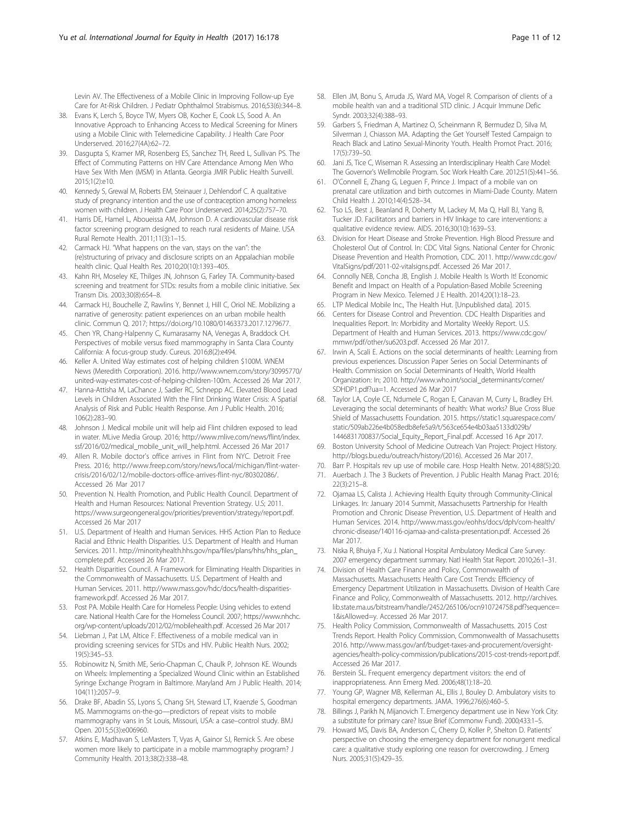<span id="page-11-0"></span>Levin AV. The Effectiveness of a Mobile Clinic in Improving Follow-up Eye Care for At-Risk Children. J Pediatr Ophthalmol Strabismus. 2016;53(6):344–8.

- 38. Evans K, Lerch S, Boyce TW, Myers OB, Kocher E, Cook LS, Sood A. An Innovative Approach to Enhancing Access to Medical Screening for Miners using a Mobile Clinic with Telemedicine Capability. J Health Care Poor Underserved. 2016;27(4A):62–72.
- 39. Dasgupta S, Kramer MR, Rosenberg ES, Sanchez TH, Reed L, Sullivan PS. The Effect of Commuting Patterns on HIV Care Attendance Among Men Who Have Sex With Men (MSM) in Atlanta. Georgia JMIR Public Health Surveill. 2015;1(2):e10.
- 40. Kennedy S, Grewal M, Roberts EM, Steinauer J, Dehlendorf C. A qualitative study of pregnancy intention and the use of contraception among homeless women with children. J Health Care Poor Underserved. 2014;25(2):757–70.
- 41. Harris DE, Hamel L, Aboueissa AM, Johnson D. A cardiovascular disease risk factor screening program designed to reach rural residents of Maine. USA Rural Remote Health. 2011;11(3):1–15.
- 42. Carmack HJ. "What happens on the van, stays on the van": the (re)structuring of privacy and disclosure scripts on an Appalachian mobile health clinic. Qual Health Res. 2010;20(10):1393–405.
- 43. Kahn RH, Moseley KE, Thilges JN, Johnson G, Farley TA. Community-based screening and treatment for STDs: results from a mobile clinic initiative. Sex Transm Dis. 2003;30(8):654–8.
- 44. Carmack HJ, Bouchelle Z, Rawlins Y, Bennet J, Hill C, Oriol NE. Mobilizing a narrative of generosity: patient experiences on an urban mobile health clinic. Commun Q. 2017; [https://doi.org/10.1080/01463373.2017.1279677.](http://dx.doi.org/10.1080/01463373.2017.1279677)
- 45. Chen YR, Chang-Halpenny C, Kumarasamy NA, Venegas A, Braddock CH. Perspectives of mobile versus fixed mammography in Santa Clara County California: A focus-group study. Cureus. 2016;8(2):e494.
- 46. Keller A. United Way estimates cost of helping children \$100M. WNEM News (Meredith Corporation). 2016. [http://www.wnem.com/story/30995770/](http://www.wnem.com/story/30995770/united-way-estimates-cost-of-helping-children-100m) [united-way-estimates-cost-of-helping-children-100m.](http://www.wnem.com/story/30995770/united-way-estimates-cost-of-helping-children-100m) Accessed 26 Mar 2017.
- 47. Hanna-Attisha M, LaChance J, Sadler RC, Schnepp AC. Elevated Blood Lead Levels in Children Associated With the Flint Drinking Water Crisis: A Spatial Analysis of Risk and Public Health Response. Am J Public Health. 2016; 106(2):283–90.
- 48. Johnson J. Medical mobile unit will help aid Flint children exposed to lead in water. MLive Media Group. 2016; [http://www.mlive.com/news/flint/index.](http://www.mlive.com/news/flint/index.ssf/2016/02/medical_mobile_unit_will_help.html) [ssf/2016/02/medical\\_mobile\\_unit\\_will\\_help.html.](http://www.mlive.com/news/flint/index.ssf/2016/02/medical_mobile_unit_will_help.html) Accessed 26 Mar 2017
- 49. Allen R. Mobile doctor's office arrives in Flint from NYC. Detroit Free Press. 2016; [http://www.freep.com/story/news/local/michigan/flint-water](http://www.freep.com/story/news/local/michigan/flint-water-crisis/2016/02/12/mobile-doctors-office-arrives-flint-nyc/80302086/)[crisis/2016/02/12/mobile-doctors-office-arrives-flint-nyc/80302086/](http://www.freep.com/story/news/local/michigan/flint-water-crisis/2016/02/12/mobile-doctors-office-arrives-flint-nyc/80302086/). Accessed 26 Mar 2017
- 50. Prevention N. Health Promotion, and Public Health Council. Department of Health and Human Resources: National Prevention Strategy. U.S; 2011. <https://www.surgeongeneral.gov/priorities/prevention/strategy/report.pdf>. Accessed 26 Mar 2017
- 51. U.S. Department of Health and Human Services. HHS Action Plan to Reduce Racial and Ethnic Health Disparities. U.S. Department of Health and Human Services. 2011. [http://minorityhealth.hhs.gov/npa/files/plans/hhs/hhs\\_plan\\_](http://minorityhealth.hhs.gov/npa/files/plans/hhs/hhs_plan_complete.pdf) [complete.pdf](http://minorityhealth.hhs.gov/npa/files/plans/hhs/hhs_plan_complete.pdf). Accessed 26 Mar 2017.
- 52. Health Disparities Council. A Framework for Eliminating Health Disparities in the Commonwealth of Massachusetts. U.S. Department of Health and Human Services. 2011. [http://www.mass.gov/hdc/docs/health-disparities](http://www.mass.gov/hdc/docs/health-disparities-framework.pdf)[framework.pdf.](http://www.mass.gov/hdc/docs/health-disparities-framework.pdf) Accessed 26 Mar 2017.
- 53. Post PA. Mobile Health Care for Homeless People: Using vehicles to extend care. National Health Care for the Homeless Council. 2007; [https://www.nhchc.](https://www.nhchc.org/wp-content/uploads/2012/02/mobilehealth.pdf) [org/wp-content/uploads/2012/02/mobilehealth.pdf](https://www.nhchc.org/wp-content/uploads/2012/02/mobilehealth.pdf). Accessed 26 Mar 2017
- 54. Liebman J, Pat LM, Altice F. Effectiveness of a mobile medical van in providing screening services for STDs and HIV. Public Health Nurs. 2002; 19(5):345–53.
- 55. Robinowitz N, Smith ME, Serio-Chapman C, Chaulk P, Johnson KE. Wounds on Wheels: Implementing a Specialized Wound Clinic within an Established Syringe Exchange Program in Baltimore. Maryland Am J Public Health. 2014; 104(11):2057–9.
- 56. Drake BF, Abadin SS, Lyons S, Chang SH, Steward LT, Kraenzle S, Goodman MS. Mammograms on-the-go—predictors of repeat visits to mobile mammography vans in St Louis, Missouri, USA: a case–control study. BMJ Open. 2015;5(3):e006960.
- 57. Atkins E, Madhavan S, LeMasters T, Vyas A, Gainor SJ, Remick S. Are obese women more likely to participate in a mobile mammography program? J Community Health. 2013;38(2):338–48.
- 58. Ellen JM, Bonu S, Arruda JS, Ward MA, Vogel R. Comparison of clients of a mobile health van and a traditional STD clinic. J Acquir Immune Defic Syndr. 2003;32(4):388–93.
- 59. Garbers S, Friedman A, Martinez O, Scheinmann R, Bermudez D, Silva M, Silverman J, Chiasson MA. Adapting the Get Yourself Tested Campaign to Reach Black and Latino Sexual-Minority Youth. Health Promot Pract. 2016; 17(5):739–50.
- 60. Jani JS, Tice C, Wiseman R. Assessing an Interdisciplinary Health Care Model: The Governor's Wellmobile Program. Soc Work Health Care. 2012;51(5):441–56.
- 61. O'Connell E, Zhang G, Leguen F, Prince J. Impact of a mobile van on prenatal care utilization and birth outcomes in Miami-Dade County. Matern Child Health J. 2010;14(4):528–34.
- 62. Tso LS, Best J, Beanland R, Doherty M, Lackey M, Ma Q, Hall BJ, Yang B, Tucker JD. Facilitators and barriers in HIV linkage to care interventions: a qualitative evidence review. AIDS. 2016;30(10):1639–53.
- 63. Division for Heart Disease and Stroke Prevention. High Blood Pressure and Cholesterol Out of Control. In: CDC Vital Signs. National Center for Chronic Disease Prevention and Health Promotion, CDC. 2011. [http://www.cdc.gov/](http://www.cdc.gov/VitalSigns/pdf/2011-02-vitalsigns.pdf) [VitalSigns/pdf/2011-02-vitalsigns.pdf](http://www.cdc.gov/VitalSigns/pdf/2011-02-vitalsigns.pdf). Accessed 26 Mar 2017.
- 64. Connolly NEB, Concha JB, English J. Mobile Health Is Worth It! Economic Benefit and Impact on Health of a Population-Based Mobile Screening Program in New Mexico. Telemed J E Health. 2014;20(1):18–23.
- 65. LTP Medical Mobile Inc., The Health Hut. [Unpublished data]. 2015.
- 66. Centers for Disease Control and Prevention. CDC Health Disparities and Inequalities Report. In: Morbidity and Mortality Weekly Report. U.S. Department of Health and Human Services. 2013. [https://www.cdc.gov/](https://www.cdc.gov/mmwr/pdf/other/su6203.pdf) [mmwr/pdf/other/su6203.pdf](https://www.cdc.gov/mmwr/pdf/other/su6203.pdf). Accessed 26 Mar 2017.
- 67. Irwin A, Scali E. Actions on the social determinants of health: Learning from previous experiences. Discussion Paper Series on Social Determinants of Health. Commission on Social Determinants of Health, World Health Organization: In; 2010. [http://www.who.int/social\\_determinants/corner/](http://www.who.int/social_determinants/corner/SDHDP1.pdf?ua=1) [SDHDP1.pdf?ua=1.](http://www.who.int/social_determinants/corner/SDHDP1.pdf?ua=1) Accessed 26 Mar 2017
- 68. Taylor LA, Coyle CE, Ndumele C, Rogan E, Canavan M, Curry L, Bradley EH. Leveraging the social determinants of health: What works? Blue Cross Blue Shield of Massachusetts Foundation. 2015. [https://static1.squarespace.com/](https://static1.squarespace.com/static/509ab226e4b058edb8efe5a9/t/563ce654e4b03aa5133d029b/1446831700837/Social_Equity_Report_Final.pdf) [static/509ab226e4b058edb8efe5a9/t/563ce654e4b03aa5133d029b/](https://static1.squarespace.com/static/509ab226e4b058edb8efe5a9/t/563ce654e4b03aa5133d029b/1446831700837/Social_Equity_Report_Final.pdf) [1446831700837/Social\\_Equity\\_Report\\_Final.pdf.](https://static1.squarespace.com/static/509ab226e4b058edb8efe5a9/t/563ce654e4b03aa5133d029b/1446831700837/Social_Equity_Report_Final.pdf) Accessed 16 Apr 2017.
- 69. Boston University School of Medicine Outreach Van Project: Project History. [http://blogs.bu.edu/outreach/history/\(](http://blogs.bu.edu/outreach/history)2016). Accessed 26 Mar 2017.
- 70. Barr P. Hospitals rev up use of mobile care. Hosp Health Netw. 2014;88(5):20.
- 71. Auerbach J. The 3 Buckets of Prevention. J Public Health Manag Pract. 2016; 22(3):215–8.
- 72. Ojamaa LS, Calista J. Achieving Health Equity through Community-Clinical Linkages. In: January 2014 Summit, Massachusetts Partnership for Health Promotion and Chronic Disease Prevention, U.S. Department of Health and Human Services. 2014. [http://www.mass.gov/eohhs/docs/dph/com-health/](http://www.mass.gov/eohhs/docs/dph/com-health/chronic-disease/140116-ojamaa-and-calista-presentation.pdf) [chronic-disease/140116-ojamaa-and-calista-presentation.pdf.](http://www.mass.gov/eohhs/docs/dph/com-health/chronic-disease/140116-ojamaa-and-calista-presentation.pdf) Accessed 26 Mar 2017.
- 73. Niska R, Bhuiya F, Xu J. National Hospital Ambulatory Medical Care Survey: 2007 emergency department summary. Natl Health Stat Report. 2010;26:1–31.
- 74. Division of Health Care Finance and Policy, Commonwealth of Massachusetts. Massachusetts Health Care Cost Trends: Efficiency of Emergency Department Utilization in Massachusetts. Division of Health Care Finance and Policy, Commonwealth of Massachusetts. 2012. [http://archives.](http://archives.lib.state.ma.us/bitstream/handle/2452/265106/ocn910724758.pdf?sequence=1&isAllowed=y) [lib.state.ma.us/bitstream/handle/2452/265106/ocn910724758.pdf?sequence=](http://archives.lib.state.ma.us/bitstream/handle/2452/265106/ocn910724758.pdf?sequence=1&isAllowed=y) [1&isAllowed=y.](http://archives.lib.state.ma.us/bitstream/handle/2452/265106/ocn910724758.pdf?sequence=1&isAllowed=y) Accessed 26 Mar 2017.
- 75. Health Policy Commission, Commonwealth of Massachusetts. 2015 Cost Trends Report. Health Policy Commission, Commonwealth of Massachusetts 2016. [http://www.mass.gov/anf/budget-taxes-and-procurement/oversight](http://www.mass.gov/anf/budget-taxes-and-procurement/oversight-agencies/health-policy-commission/publications/2015-cost-trends-report.pdf)[agencies/health-policy-commission/publications/2015-cost-trends-report.pdf.](http://www.mass.gov/anf/budget-taxes-and-procurement/oversight-agencies/health-policy-commission/publications/2015-cost-trends-report.pdf) Accessed 26 Mar 2017.
- 76. Berstein SL. Frequent emergency department visitors: the end of inappropriateness. Ann Emerg Med. 2006;48(1):18–20.
- 77. Young GP, Wagner MB, Kellerman AL, Ellis J, Bouley D. Ambulatory visits to hospital emergency departments. JAMA. 1996;276(6):460–5.
- 78. Billings J, Parikh N, Mijanovich T. Emergency department use in New York City: a substitute for primary care? Issue Brief (Commonw Fund). 2000;433:1–5.
- 79. Howard MS, Davis BA, Anderson C, Cherry D, Koller P, Shelton D. Patients' perspective on choosing the emergency department for nonurgent medical care: a qualitative study exploring one reason for overcrowding. J Emerg Nurs. 2005;31(5):429–35.